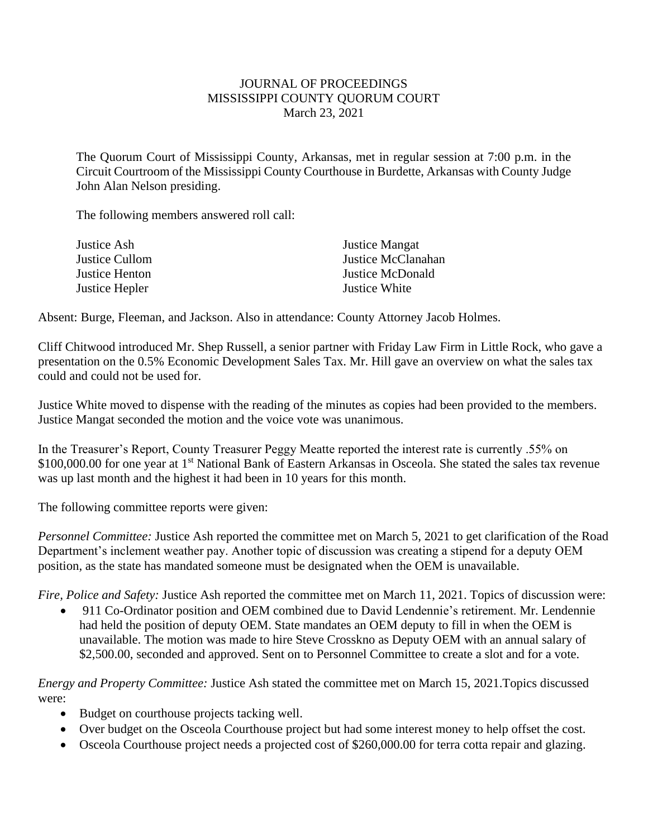## JOURNAL OF PROCEEDINGS MISSISSIPPI COUNTY QUORUM COURT March 23, 2021

The Quorum Court of Mississippi County, Arkansas, met in regular session at 7:00 p.m. in the Circuit Courtroom of the Mississippi County Courthouse in Burdette, Arkansas with County Judge John Alan Nelson presiding.

The following members answered roll call:

| Justice Ash    | <b>Justice Mangat</b> |
|----------------|-----------------------|
| Justice Cullom | Justice McClanahan    |
| Justice Henton | Justice McDonald      |
| Justice Hepler | Justice White         |

Absent: Burge, Fleeman, and Jackson. Also in attendance: County Attorney Jacob Holmes.

Cliff Chitwood introduced Mr. Shep Russell, a senior partner with Friday Law Firm in Little Rock, who gave a presentation on the 0.5% Economic Development Sales Tax. Mr. Hill gave an overview on what the sales tax could and could not be used for.

Justice White moved to dispense with the reading of the minutes as copies had been provided to the members. Justice Mangat seconded the motion and the voice vote was unanimous.

In the Treasurer's Report, County Treasurer Peggy Meatte reported the interest rate is currently .55% on \$100,000.00 for one year at 1<sup>st</sup> National Bank of Eastern Arkansas in Osceola. She stated the sales tax revenue was up last month and the highest it had been in 10 years for this month.

The following committee reports were given:

*Personnel Committee:* Justice Ash reported the committee met on March 5, 2021 to get clarification of the Road Department's inclement weather pay. Another topic of discussion was creating a stipend for a deputy OEM position, as the state has mandated someone must be designated when the OEM is unavailable.

*Fire, Police and Safety:* Justice Ash reported the committee met on March 11, 2021. Topics of discussion were:

• 911 Co-Ordinator position and OEM combined due to David Lendennie's retirement. Mr. Lendennie had held the position of deputy OEM. State mandates an OEM deputy to fill in when the OEM is unavailable. The motion was made to hire Steve Crosskno as Deputy OEM with an annual salary of \$2,500.00, seconded and approved. Sent on to Personnel Committee to create a slot and for a vote.

*Energy and Property Committee:* Justice Ash stated the committee met on March 15, 2021.Topics discussed were:

- Budget on courthouse projects tacking well.
- Over budget on the Osceola Courthouse project but had some interest money to help offset the cost.
- Osceola Courthouse project needs a projected cost of \$260,000.00 for terra cotta repair and glazing.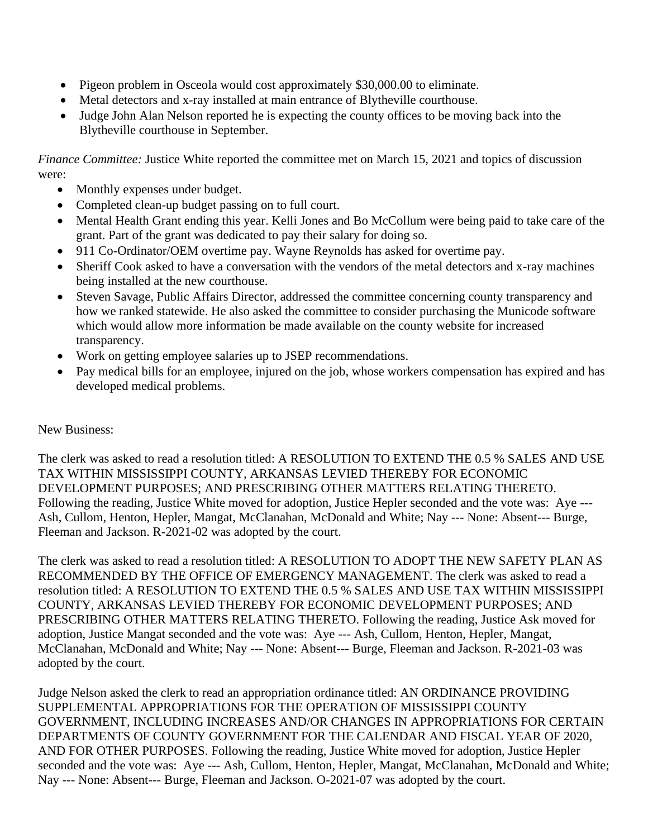- Pigeon problem in Osceola would cost approximately \$30,000.00 to eliminate.
- Metal detectors and x-ray installed at main entrance of Blytheville courthouse.
- Judge John Alan Nelson reported he is expecting the county offices to be moving back into the Blytheville courthouse in September.

*Finance Committee:* Justice White reported the committee met on March 15, 2021 and topics of discussion were:

- Monthly expenses under budget.
- Completed clean-up budget passing on to full court.
- Mental Health Grant ending this year. Kelli Jones and Bo McCollum were being paid to take care of the grant. Part of the grant was dedicated to pay their salary for doing so.
- 911 Co-Ordinator/OEM overtime pay. Wayne Reynolds has asked for overtime pay.
- Sheriff Cook asked to have a conversation with the vendors of the metal detectors and x-ray machines being installed at the new courthouse.
- Steven Savage, Public Affairs Director, addressed the committee concerning county transparency and how we ranked statewide. He also asked the committee to consider purchasing the Municode software which would allow more information be made available on the county website for increased transparency.
- Work on getting employee salaries up to JSEP recommendations.
- Pay medical bills for an employee, injured on the job, whose workers compensation has expired and has developed medical problems.

## New Business:

The clerk was asked to read a resolution titled: A RESOLUTION TO EXTEND THE 0.5 % SALES AND USE TAX WITHIN MISSISSIPPI COUNTY, ARKANSAS LEVIED THEREBY FOR ECONOMIC DEVELOPMENT PURPOSES; AND PRESCRIBING OTHER MATTERS RELATING THERETO. Following the reading, Justice White moved for adoption, Justice Hepler seconded and the vote was: Aye --- Ash, Cullom, Henton, Hepler, Mangat, McClanahan, McDonald and White; Nay --- None: Absent--- Burge, Fleeman and Jackson. R-2021-02 was adopted by the court.

The clerk was asked to read a resolution titled: A RESOLUTION TO ADOPT THE NEW SAFETY PLAN AS RECOMMENDED BY THE OFFICE OF EMERGENCY MANAGEMENT. The clerk was asked to read a resolution titled: A RESOLUTION TO EXTEND THE 0.5 % SALES AND USE TAX WITHIN MISSISSIPPI COUNTY, ARKANSAS LEVIED THEREBY FOR ECONOMIC DEVELOPMENT PURPOSES; AND PRESCRIBING OTHER MATTERS RELATING THERETO. Following the reading, Justice Ask moved for adoption, Justice Mangat seconded and the vote was: Aye --- Ash, Cullom, Henton, Hepler, Mangat, McClanahan, McDonald and White; Nay --- None: Absent--- Burge, Fleeman and Jackson. R-2021-03 was adopted by the court.

Judge Nelson asked the clerk to read an appropriation ordinance titled: AN ORDINANCE PROVIDING SUPPLEMENTAL APPROPRIATIONS FOR THE OPERATION OF MISSISSIPPI COUNTY GOVERNMENT, INCLUDING INCREASES AND/OR CHANGES IN APPROPRIATIONS FOR CERTAIN DEPARTMENTS OF COUNTY GOVERNMENT FOR THE CALENDAR AND FISCAL YEAR OF 2020, AND FOR OTHER PURPOSES. Following the reading, Justice White moved for adoption, Justice Hepler seconded and the vote was: Aye --- Ash, Cullom, Henton, Hepler, Mangat, McClanahan, McDonald and White; Nay --- None: Absent--- Burge, Fleeman and Jackson. O-2021-07 was adopted by the court.